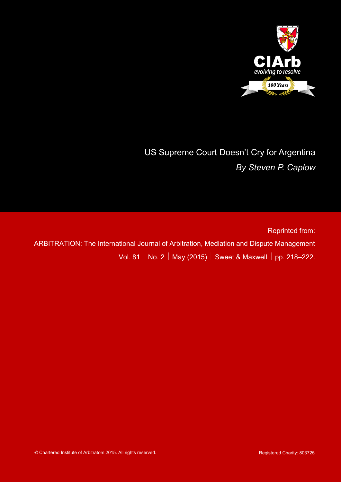

# US Supreme Court Doesn't Cry for Argentina *By Steven P. Caplow*

Reprinted from: ARBITRATION: The International Journal of Arbitration, Mediation and Dispute Management Vol. 81 | No. 2 | May (2015) | Sweet & Maxwell | pp. 218–222.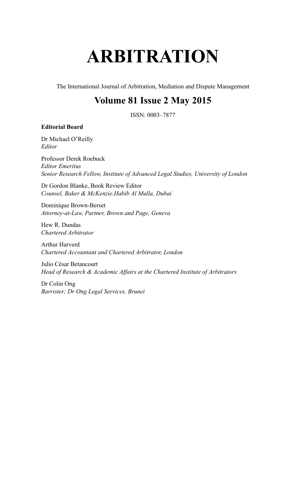# **ARBITRATION**

The International Journal of Arbitration, Mediation and Dispute Management

## **Volume 81 Issue 2 May 2015**

ISSN: 0003–7877

#### **Editorial Board**

Dr Michael O'Reilly *Editor*

Professor Derek Roebuck *Editor Emeritus Senior Research Fellow, Institute of Advanced Legal Studies, University of London*

Dr Gordon Blanke, Book Review Editor *Counsel, Baker & McKenzie.Habib Al Mulla, Dubai*

Dominique Brown-Berset *Attorney-at-Law, Partner, Brown and Page, Geneva*

Hew R. Dundas *Chartered Arbitrator*

Arthur Harverd *Chartered Accountant and Chartered Arbitrator, London*

Julio César Betancourt *Head of Research & Academic Affairs at the Chartered Institute of Arbitrators*

Dr Colin Ong *Barrister; Dr Ong Legal Services, Brunei*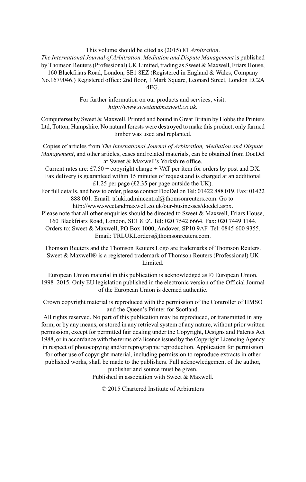This volume should be cited as (2015) 81 *Arbitration*.

*The International Journal of Arbitration, Mediation and Dispute Management* is published by Thomson Reuters(Professional) UK Limited, trading as Sweet & Maxwell, Friars House, 160 Blackfriars Road, London, SE1 8EZ (Registered in England & Wales, Company No.1679046.) Registered office: 2nd floor, 1 Mark Square, Leonard Street, London EC2A

4EG.

For further information on our products and services, visit: *http://www.sweetandmaxwell.co.uk*.

Computerset by Sweet & Maxwell. Printed and bound in Great Britain by Hobbs the Printers Ltd, Totton, Hampshire. No natural forests were destroyed to make this product; only farmed timber was used and replanted.

Copies of articles from *The International Journal of Arbitration, Mediation and Dispute Management*, and other articles, cases and related materials, can be obtained from DocDel at Sweet & Maxwell's Yorkshire office.

Current rates are:  $£7.50 +$  copyright charge + VAT per item for orders by post and DX. Fax delivery is guaranteed within 15 minutes of request and is charged at an additional £1.25 per page (£2.35 per page outside the UK).

For full details, and how to order, please contact DocDel on Tel: 01422 888 019. Fax: 01422 888 001. Email: trluki.admincentral@thomsonreuters.com. Go to:

http://www.sweetandmaxwell.co.uk/our-businesses/docdel.aspx.

Please note that all other enquiries should be directed to Sweet  $\&$  Maxwell, Friars House, 160 Blackfriars Road, London, SE1 8EZ. Tel: 020 7542 6664. Fax: 020 7449 1144.

Orders to: Sweet & Maxwell, PO Box 1000, Andover, SP10 9AF. Tel: 0845 600 9355. Email: TRLUKI.orders@thomsonreuters.com.

Thomson Reuters and the Thomson Reuters Logo are trademarks of Thomson Reuters. Sweet & Maxwell® is a registered trademark of Thomson Reuters (Professional) UK Limited.

European Union material in this publication is acknowledged as © European Union, 1998–2015. Only EU legislation published in the electronic version of the Official Journal of the European Union is deemed authentic.

Crown copyright material is reproduced with the permission of the Controller of HMSO and the Queen's Printer for Scotland.

All rights reserved. No part of this publication may be reproduced, or transmitted in any form, or by any means, or stored in any retrieval system of any nature, without prior written permission, except for permitted fair dealing under the Copyright, Designs and Patents Act 1988, or in accordance with the terms of a licence issued by the Copyright Licensing Agency in respect of photocopying and/or reprographic reproduction. Application for permission for other use of copyright material, including permission to reproduce extracts in other published works, shall be made to the publishers. Full acknowledgement of the author,

publisher and source must be given.

Published in association with Sweet & Maxwell.

© 2015 Chartered Institute of Arbitrators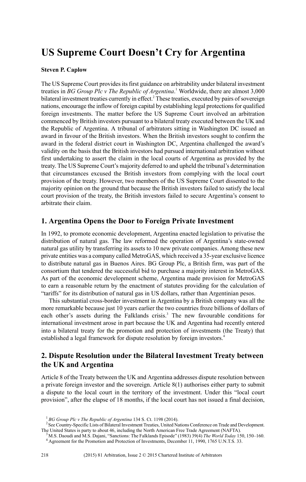## **US Supreme Court Doesn't Cry for Argentina**

#### **Steven P. Caplow**

The US Supreme Court provides its first guidance on arbitrability under bilateral investment treaties in *BG Group Plc v The Republic of Argentina*. <sup>1</sup> Worldwide, there are almost 3,000 bilateral investment treaties currently in effect.<sup>2</sup> These treaties, executed by pairs of sovereign nations, encourage the inflow of foreign capital by establishing legal protectionsfor qualified foreign investments. The matter before the US Supreme Court involved an arbitration commenced by British investors pursuant to a bilateral treaty executed between the UK and the Republic of Argentina. A tribunal of arbitrators sitting in Washington DC issued an award in favour of the British investors. When the British investors sought to confirm the award in the federal district court in Washington DC, Argentina challenged the award's validity on the basis that the British investors had pursued international arbitration without first undertaking to assert the claim in the local courts of Argentina as provided by the treaty. The US Supreme Court's majority deferred to and upheld the tribunal's determination that circumstances excused the British investors from complying with the local court provision of the treaty. However, two members of the US Supreme Court dissented to the majority opinion on the ground that because the British investors failed to satisfy the local court provision of the treaty, the British investors failed to secure Argentina's consent to arbitrate their claim.

#### **1. Argentina Opens the Door to Foreign Private Investment**

In 1992, to promote economic development, Argentina enacted legislation to privatise the distribution of natural gas. The law reformed the operation of Argentina's state-owned natural gas utility by transferring its assets to 10 new private companies. Among these new private entities was a company called MetroGAS, which received a 35-year exclusive licence to distribute natural gas in Buenos Aires. BG Group Plc, a British firm, was part of the consortium that tendered the successful bid to purchase a majority interest in MetroGAS. As part of the economic development scheme, Argentina made provision for MetroGAS to earn a reasonable return by the enactment of statutes providing for the calculation of "tariffs" for its distribution of natural gas in US dollars, rather than Argentinian pesos.

This substantial cross-border investment in Argentina by a British company was all the more remarkable because just 10 years earlier the two countries froze billions of dollars of each other's assets during the Falklands crisis.<sup>3</sup> The new favourable conditions for international investment arose in part because the UK and Argentina had recently entered into a bilateral treaty for the promotion and protection of investments (the Treaty) that established a legal framework for dispute resolution by foreign investors.<sup>4</sup>

#### **2. Dispute Resolution under the Bilateral Investment Treaty between the UK and Argentina**

Article 8 of the Treaty between the UK and Argentina addresses dispute resolution between a private foreign investor and the sovereign. Article 8(1) authorises either party to submit a dispute to the local court in the territory of the investment. Under this "local court provision", after the elapse of 18 months, if the local court has not issued a final decision,

<sup>1</sup> *BG Group Plc v The Republic of Argentina* 134 S. Ct. 1198 (2014).

<sup>2</sup> See Country-Specific Lists of Bilateral Investment Treaties, United Nations Conference on Trade and Development. The United States is party to about 46, including the North American Free Trade Agreement (NAFTA).

<sup>3</sup>M.S. Daoudi and M.S. Dajani, "Sanctions: The Falklands Episode" (1983) 39(4) *The World Today* 150, 150–160. <sup>4</sup> Agreement for the Promotion and Protection of Investments, December 11, 1990, 1765 U.N.T.S. 33.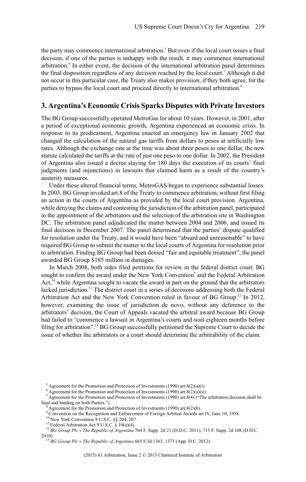the party may commence international arbitration.<sup>5</sup> But even if the local court issues a final decision, if one of the parties is unhappy with the result, it may commence international arbitration.<sup>6</sup> In either event, the decision of the international arbitration panel determines the final disposition regardless of any decision reached by the local court.<sup>7</sup> Although it did not occur in this particular case, the Treaty also makes provision, if they both agree, for the parties to bypass the local court and proceed directly to international arbitration.<sup>8</sup>

#### **3. Argentina's Economic Crisis Sparks Disputes with Private Investors**

The BG Group successfully operated MetroGas for about 10 years. However, in 2001, after a period of exceptional economic growth, Argentina experienced an economic crisis. In response to its predicament, Argentina enacted an emergency law in January 2002 that changed the calculation of the natural gas tariffs from dollars to pesos at artificially low rates. Although the exchange rate at the time was about three pesos to one dollar, the new statute calculated the tariffs at the rate of just one peso to one dollar. In 2002, the President of Argentina also issued a decree staying for 180 days the execution of its courts' final judgments (and injunctions) in lawsuits that claimed harm as a result of the country's austerity measures.

Under these altered financial terms, MetroGAS began to experience substantial losses. In 2003, BG Group invoked art.8 of the Treaty to commence arbitration, without first filing an action in the courts of Argentina as provided by the local court provision. Argentina, while denying the claims and contesting the jurisdiction of the arbitration panel, participated in the appointment of the arbitrators and the selection of the arbitration site in Washington DC. The arbitration panel adjudicated the matter between 2004 and 2006, and issued its final decision in December 2007. The panel determined that the parties' dispute qualified for resolution under the Treaty, and it would have been "absurd and unreasonable" to have required BG Group to submit the matter to the local courts of Argentina for resolution prior to arbitration. Finding BG Group had been denied "fair and equitable treatment", the panel awarded BG Group \$185 million in damages.

In March 2008, both sides filed petitions for review in the federal district court. BG sought to confirm the award under the New York Convention<sup>9</sup> and the Federal Arbitration Act,<sup>10</sup> while Argentina sought to vacate the award in part on the ground that the arbitrators lacked jurisdiction.<sup>11</sup> The district court in a series of decisions addressing both the Federal Arbitration Act and the New York Convention ruled in favour of BG Group.<sup>12</sup> In 2012, however, examining the issue of jurisdiction de novo, without any deference to the arbitrators' decision, the Court of Appeals vacated the arbitral award because BG Group had failed to "commence a lawsuit in Argentina's courts and wait eighteen months before filing for arbitration".<sup>13</sup> BG Group successfully petitioned the Supreme Court to decide the issue of whether the arbitrators or a court should determine the arbitrability of the claim.

 $5$  Agreement for the Promotion and Protection of Investments (1990) art.8(2)(a)(i).

 $6$  Agreement for the Promotion and Protection of Investments (1990) art.8(2)(a)(ii).

<sup>&</sup>lt;sup>7</sup> Agreement for the Promotion and Protection of Investments (1990) art.8(4) ("The arbitration decision shall be final and binding on both Parties.").

<sup>8</sup> Agreement for the Promotion and Protection of Investments (1990) art.8(2)(b). <sup>9</sup> Convention on the Recognition and Enforcement of Foreign Arbitral Awards art.IV, June 10, 1958.

 $10$  New York Convention  $\frac{3}{9}$  U.S.C. §§ 204, 207.

<sup>&</sup>lt;sup>11</sup> Federal Arbitration Act 9 U.S.C. § 10(a)(4).

<sup>12</sup> *BG Group Plc v The Republic of Argentina* 764 F. Supp. 2d 21 (D.D.C. 2011); 715 F. Supp. 2d 108 (D.D.C. 2010).

<sup>13</sup> *BG Group Plc v The Republic of Argentina* 665 F.3d 1363, 1373 (App. D.C. 2012).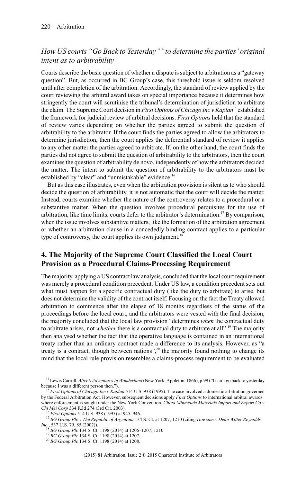#### *How US courts "Go Back to Yesterday"*<sup>14</sup> *to determine the parties' original intent as to arbitrability*

Courts describe the basic question of whether a dispute issubject to arbitration as a "gateway question". But, as occurred in BG Group's case, this threshold issue is seldom resolved until after completion of the arbitration. Accordingly, the standard of review applied by the court reviewing the arbitral award takes on special importance because it determines how stringently the court will scrutinise the tribunal's determination of jurisdiction to arbitrate the claim. The Supreme Court decision in *First Options of Chicago Inc v Kaplan*<sup>15</sup> established the framework for judicial review of arbitral decisions. *First Options* held that the standard of review varies depending on whether the parties agreed to submit the question of arbitrability to the arbitrator. If the court finds the parties agreed to allow the arbitrators to determine jurisdiction, then the court applies the deferential standard of review it applies to any other matter the parties agreed to arbitrate. If, on the other hand, the court finds the parties did not agree to submit the question of arbitrability to the arbitrators, then the court examines the question of arbitrability de novo, independently of how the arbitrators decided the matter. The intent to submit the question of arbitrability to the arbitrators must be established by "clear" and "unmistakable" evidence.<sup>16</sup>

But as this case illustrates, even when the arbitration provision is silent as to who should decide the question of arbitrability, it is not automatic that the court will decide the matter. Instead, courts examine whether the nature of the controversy relates to a procedural or a substantive matter. When the question involves procedural perquisites for the use of arbitration, like time limits, courts defer to the arbitrator's determination.<sup>17</sup> By comparison, when the issue involves substantive matters, like the formation of the arbitration agreement or whether an arbitration clause in a concededly binding contract applies to a particular type of controversy, the court applies its own judgment.<sup>18</sup>

#### **4. The Majority of the Supreme Court Classified the Local Court Provision as a Procedural Claims-Processing Requirement**

The majority, applying a US contract law analysis, concluded that the local court requirement was merely a procedural condition precedent. Under US law, a condition precedent sets out what must happen for a specific contractual duty (like the duty to arbitrate) to arise, but does not determine the validity of the contract itself. Focusing on the fact the Treaty allowed arbitration to commence after the elapse of 18 months regardless of the status of the proceedings before the local court, and the arbitrators were vested with the final decision, the majority concluded that the local law provision "determines *when* the contractual duty to arbitrate arises, not *whether* there is a contractual duty to arbitrate at all".<sup>19</sup> The majority then analysed whether the fact that the operative language is contained in an international treaty rather than an ordinary contract made a difference to its analysis. However, as "a treaty is a contract, though between nations", $2^{\circ}$  the majority found nothing to change its mind that the local rule provision resembles a claims-process requirement to be evaluated

<sup>14</sup>Lewis Carroll, *Alice's Adventuresin Wonderland* (New York: Appleton, 1866), p.99 ("I can't go back to yesterday because I was a different person then.").

<sup>15</sup> *First Options of Chicago Inc v Kaplan* 514 U.S. 938 (1995). The case involved a domestic arbitration governed by the Federal Arbitration Act. However, subsequent decisions apply *First Options* to international arbitral awards where enforcement is sought under the New York Convention. *China Minmetals Materials Import and Export Co v Chi Mei Corp* 334 F.3d 274 (3rd Cir. 2003).

<sup>16</sup> *First Options* 514 U.S. 938 (1995) at 945–946.

<sup>17</sup> *BG Group Plc v The Republic of Argentina* 134 S. Ct. at 1207, 1210 (citing *Howsam v Dean Witter Reynolds, Inc.*, 537 U.S. 79, 85 (2002)).

<sup>18</sup> *BG Group Plc* 134 S. Ct. 1198 (2014) at 1206–1207; 1210.

<sup>19</sup> *BG Group Plc* 134 S. Ct. 1198 (2014) at 1207.

<sup>20</sup> *BG Group Plc* 134 S. Ct. 1198 (2014) at 1208.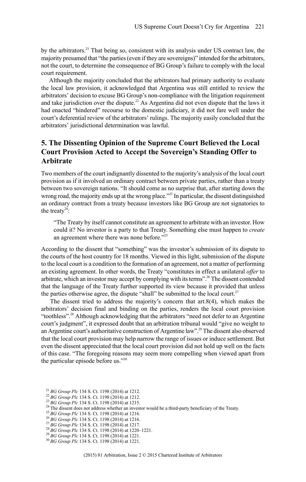by the arbitrators.<sup>21</sup> That being so, consistent with its analysis under US contract law, the majority presumed that "the parties(even if they are sovereigns)" intended for the arbitrators, not the court, to determine the consequence of BG Group's failure to comply with the local court requirement.

Although the majority concluded that the arbitrators had primary authority to evaluate the local law provision, it acknowledged that Argentina was still entitled to review the arbitrators' decision to excuse BG Group's non-compliance with the litigation requirement and take jurisdiction over the dispute.<sup>22</sup> As Argentina did not even dispute that the laws it had enacted "hindered" recourse to the domestic judiciary, it did not fare well under the court's deferential review of the arbitrators' rulings. The majority easily concluded that the arbitrators' jurisdictional determination was lawful.

#### **5. The Dissenting Opinion of the Supreme Court Believed the Local Court Provision Acted to Accept the Sovereign's Standing Offer to Arbitrate**

Two members of the court indignantly dissented to the majority's analysis of the local court provision as if it involved an ordinary contract between private parties, rather than a treaty between two sovereign nations. "It should come as no surprise that, after starting down the wrong road, the majority ends up at the wrong place."<sup>23</sup> In particular, the dissent distinguished an ordinary contract from a treaty because investors like BG Group are not signatories to the treat $v^{24}$ :

"The Treaty by itself cannot constitute an agreement to arbitrate with an investor. How could it? No investor is a party to that Treaty. Something else must happen to *create* an agreement where there was none before."<sup>25</sup>

According to the dissent that "something" was the investor's submission of its dispute to the courts of the host country for 18 months. Viewed in this light, submission of the dispute to the local court is a condition to the formation of an agreement, not a matter of performing an existing agreement. In other words, the Treaty "constitutes in effect a unilateral *offer* to arbitrate, which an investor may accept by complying with its terms".<sup>26</sup> The dissent contended that the language of the Treaty further supported its view because it provided that unless the parties otherwise agree, the dispute "shall" be submitted to the local court.<sup>27</sup>

The dissent tried to address the majority's concern that art.8(4), which makes the arbitrators' decision final and binding on the parties, renders the local court provision "toothless".<sup>28</sup> Although acknowledging that the arbitrators "need not defer to an Argentine" court's judgment", it expressed doubt that an arbitration tribunal would "give no weight to an Argentine court's authoritative construction of Argentine law".<sup>29</sup> The dissent also observed that the local court provision may help narrow the range of issues or induce settlement. But even the dissent appreciated that the local court provision did not hold up well on the facts of this case. "The foregoing reasons may seem more compelling when viewed apart from the particular episode before us."<sup>30</sup>

<sup>21</sup> *BG Group Plc* 134 S. Ct. 1198 (2014) at 1212.

<sup>22</sup> *BG Group Plc* 134 S. Ct. 1198 (2014) at 1212.

<sup>23</sup> *BG Group Plc* 134 S. Ct. 1198 (2014) at 1215.

<sup>&</sup>lt;sup>24</sup> The dissent does not address whether an investor would be a third-party beneficiary of the Treaty.

<sup>25</sup> *BG Group Plc* 134 S. Ct. 1198 (2014) at 1216.

<sup>26</sup> *BG Group Plc* 134 S. Ct. 1198 (2014) at 1216. <sup>27</sup> *BG Group Plc* 134 S. Ct. 1198 (2014) at 1217.

<sup>28</sup> *BG Group Plc* 134 S. Ct. 1198 (2014) at 1220–1221.

<sup>29</sup> *BG Group Plc* 134 S. Ct. 1198 (2014) at 1221.

<sup>30</sup> *BG Group Plc* 134 S. Ct. 1198 (2014) at 1221.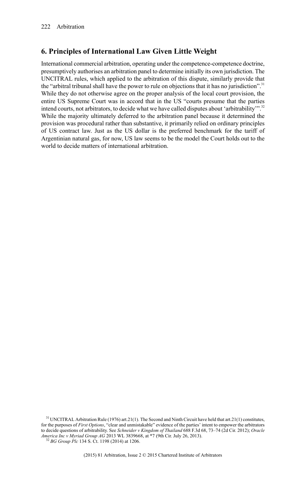#### **6. Principles of International Law Given Little Weight**

International commercial arbitration, operating under the competence-competence doctrine, presumptively authorises an arbitration panel to determine initially its own jurisdiction. The UNCITRAL rules, which applied to the arbitration of this dispute, similarly provide that the "arbitral tribunal shall have the power to rule on objections that it has no jurisdiction".<sup>31</sup> While they do not otherwise agree on the proper analysis of the local court provision, the entire US Supreme Court was in accord that in the US "courts presume that the parties intend courts, not arbitrators, to decide what we have called disputes about 'arbitrability'".<sup>32</sup> While the majority ultimately deferred to the arbitration panel because it determined the provision was procedural rather than substantive, it primarily relied on ordinary principles of US contract law. Just as the US dollar is the preferred benchmark for the tariff of Argentinian natural gas, for now, US law seems to be the model the Court holds out to the world to decide matters of international arbitration.

<sup>31</sup> UNCITRAL Arbitration Rule (1976) art.21(1). The Second and Ninth Circuit have held that art.21(1) constitutes, for the purposes of *First Options*, "clear and unmistakable" evidence of the parties' intent to empower the arbitrators to decide questions of arbitrability. See *Schneider v Kingdom of Thailand* 688 F.3d 68, 73–74 (2d Cir. 2012); *Oracle America Inc v Myriad Group AG* 2013 WL 3839668, at \*7 (9th Cir. July 26, 2013).

<sup>32</sup> *BG Group Plc* 134 S. Ct. 1198 (2014) at 1206.